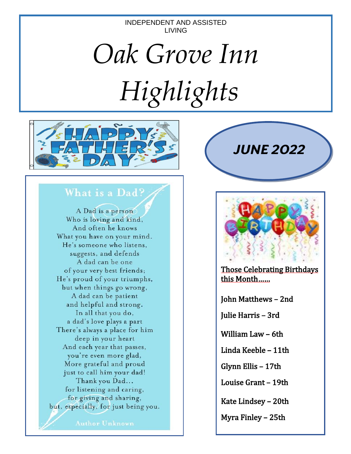INDEPENDENT AND ASSISTED LIVING

*Oak Grove Inn Highlights*



## **What is a Dad?**

I

A Dad is a person Who is loving and kind, And often he knows What you have on your mind. He's someone who listens, suggests, and defends A dad can be one of your very best friends; He's proud of your triumphs, but when things go wrong, A dad can be patient and helpful and strong. In all that you do, a dad's love plays a part There's always a place for him deep in your heart And each year that passes, you're even more glad, More grateful and proud just to call him your dad! Thank you Dad... for listening and caring, for giving and sharing, but, especially, for just being you.

*JUNE 2022*

*Office #215-8881*



Those Celebrating Birthdays this Month……

John Matthews – 2nd

Julie Harris – 3rd

William Law – 6th

Linda Keeble – 11th

Glynn Ellis – 17th

Louise Grant – 19th

Kate Lindsey – 20th

Myra Finley – 25th

j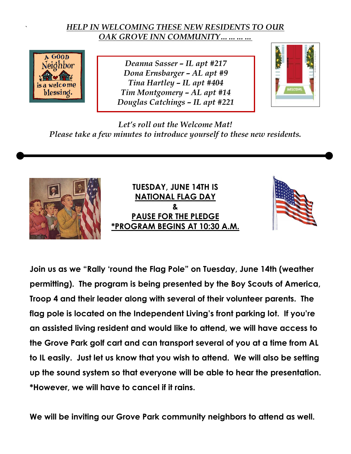### ` *HELP IN WELCOMING THESE NEW RESIDENTS TO OUR OAK GROVE INN COMMUNITY…………*



*Deanna Sasser – IL apt #217 Dona Ernsbarger – AL apt #9 Tina Hartley – IL apt #404 Tim Montgomery – AL apt #14 Douglas Catchings – IL apt #221*



*Let's roll out the Welcome Mat! Please take a few minutes to introduce yourself to these new residents.*



**TUESDAY, JUNE 14TH IS NATIONAL FLAG DAY & PAUSE FOR THE PLEDGE \*PROGRAM BEGINS AT 10:30 A.M.**



**Join us as we "Rally 'round the Flag Pole" on Tuesday, June 14th (weather permitting). The program is being presented by the Boy Scouts of America, Troop 4 and their leader along with several of their volunteer parents. The flag pole is located on the Independent Living's front parking lot. If you're an assisted living resident and would like to attend, we will have access to the Grove Park golf cart and can transport several of you at a time from AL to IL easily. Just let us know that you wish to attend. We will also be setting up the sound system so that everyone will be able to hear the presentation. \*However, we will have to cancel if it rains.**

**We will be inviting our Grove Park community neighbors to attend as well.**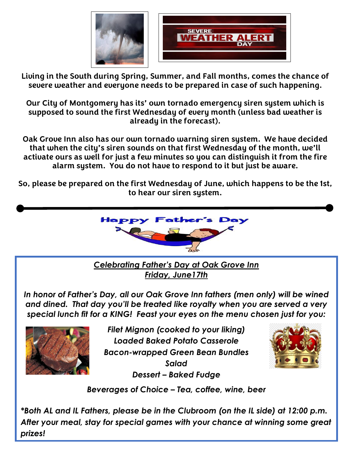

**Living in the South during Spring, Summer, and Fall months, comes the chance of severe weather and everyone needs to be prepared in case of such happening.**

**Our City of Montgomery has its' own tornado emergency siren system which is supposed to sound the first Wednesday of every month (unless bad weather is already in the forecast).**

**Oak Grove Inn also has our own tornado warning siren system. We have decided that when the city's siren sounds on that first Wednesday of the month, we'll activate ours as well for just a few minutes so you can distinguish it from the fire alarm system. You do not have to respond to it but just be aware.**

**So, please be prepared on the first Wednesday of June, which happens to be the 1st, to hear our siren system.** 





*Filet Mignon (cooked to your liking) Loaded Baked Potato Casserole Bacon-wrapped Green Bean Bundles Salad Dessert – Baked Fudge*



*Beverages of Choice – Tea, coffee, wine, beer*

*\*Both AL and IL Fathers, please be in the Clubroom (on the IL side) at 12:00 p.m. After your meal, stay for special games with your chance at winning some great prizes!*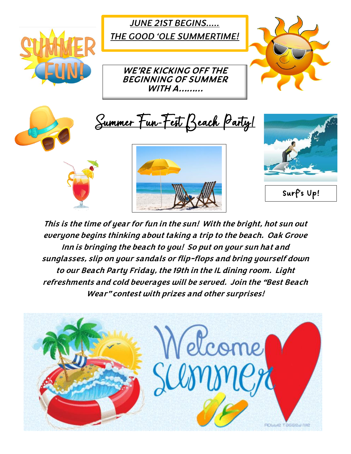

**This is the time of year for fun in the sun! With the bright, hot sun out everyone begins thinking about taking a trip to the beach. Oak Grove Inn is bringing the beach to you! So put on your sun hat and sunglasses, slip on your sandals or flip-flops and bring yourself down to our Beach Party Friday, the 19th in the IL dining room. Light refreshments and cold beverages will be served. Join the "Best Beach Wear" contest with prizes and other surprises!**

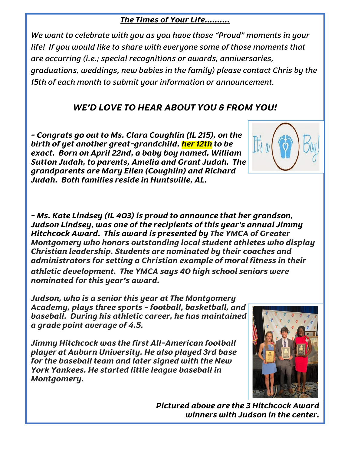### *The Times of Your Life..........*

*We want to celebrate with you as you have those "Proud" moments in your life! If you would like to share with everyone some of those moments that are occurring (i.e.; special recognitions or awards, anniversaries, graduations, weddings, new babies in the family) please contact Chris by the 15th of each month to submit your information or announcement.* 

## *WE'D LOVE TO HEAR ABOUT YOU & FROM YOU!*

*- Congrats go out to Ms. Clara Coughlin (IL 215), on the birth of yet another great-grandchild, her 12th to be exact. Born on April 22nd, a baby boy named, William Sutton Judah, to parents, Amelia and Grant Judah. The grandparents are Mary Ellen (Coughlin) and Richard Judah. Both families reside in Huntsville, AL.*

*- Ms. Kate Lindsey (IL 403) is proud to announce that her grandson, Judson Lindsey, was one of the recipients of this year's annual Jimmy Hitchcock Award. This award is presented by The YMCA of Greater Montgomery who honors outstanding local student athletes who display Christian leadership. Students are nominated by their coaches and administrators for setting a Christian example of moral fitness in their athletic development. The YMCA says 40 high school seniors were nominated for this year's award.*

*Judson, who is a senior this year at The Montgomery Academy, plays three sports – football, basketball, and baseball. During his athletic career, he has maintained a grade point average of 4.5.*

*Jimmy Hitchcock was the first All-American football player at Auburn University. He also played 3rd base for the baseball team and later signed with the New York Yankees. He started little league baseball in Montgomery.*

> *Pictured above are the 3 Hitchcock Award winners with Judson in the center.*